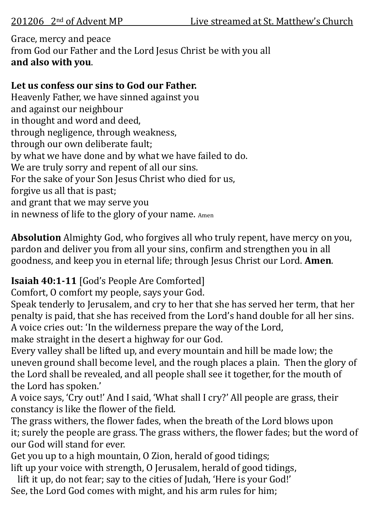## Grace, mercy and peace from God our Father and the Lord Jesus Christ be with you all **and also with you**.

## **Let us confess our sins to God our Father.**

Heavenly Father, we have sinned against you and against our neighbour in thought and word and deed, through negligence, through weakness, through our own deliberate fault; by what we have done and by what we have failed to do. We are truly sorry and repent of all our sins. For the sake of your Son Jesus Christ who died for us, forgive us all that is past; and grant that we may serve you in newness of life to the glory of your name. Amen

**Absolution** Almighty God, who forgives all who truly repent, have mercy on you, pardon and deliver you from all your sins, confirm and strengthen you in all goodness, and keep you in eternal life; through Jesus Christ our Lord. **Amen**.

# **Isaiah 40:1-11** [God's People Are Comforted]

Comfort, O comfort my people, says your God.

Speak tenderly to Jerusalem, and cry to her that she has served her term, that her penalty is paid, that she has received from the Lord's hand double for all her sins. A voice cries out: 'In the wilderness prepare the way of the Lord,

make straight in the desert a highway for our God.

Every valley shall be lifted up, and every mountain and hill be made low; the uneven ground shall become level, and the rough places a plain. Then the glory of the Lord shall be revealed, and all people shall see it together, for the mouth of the Lord has spoken.'

A voice says, 'Cry out!' And I said, 'What shall I cry?' All people are grass, their constancy is like the flower of the field.

The grass withers, the flower fades, when the breath of the Lord blows upon it; surely the people are grass. The grass withers, the flower fades; but the word of our God will stand for ever.

Get you up to a high mountain, O Zion, herald of good tidings;

lift up your voice with strength, O Jerusalem, herald of good tidings,

 lift it up, do not fear; say to the cities of Judah, 'Here is your God!' See, the Lord God comes with might, and his arm rules for him;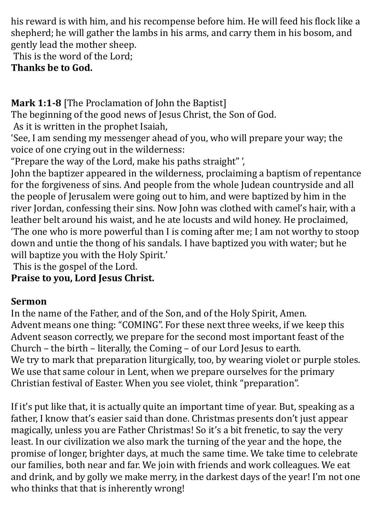his reward is with him, and his recompense before him. He will feed his flock like a shepherd; he will gather the lambs in his arms, and carry them in his bosom, and gently lead the mother sheep.

This is the word of the Lord; **Thanks be to God.**

**Mark 1:1-8** [The Proclamation of John the Baptist]

The beginning of the good news of Jesus Christ, the Son of God.

As it is written in the prophet Isaiah,

'See, I am sending my messenger ahead of you, who will prepare your way; the voice of one crying out in the wilderness:

"Prepare the way of the Lord, make his paths straight" ',

John the baptizer appeared in the wilderness, proclaiming a baptism of repentance for the forgiveness of sins. And people from the whole Judean countryside and all the people of Jerusalem were going out to him, and were baptized by him in the river Jordan, confessing their sins. Now John was clothed with camel's hair, with a leather belt around his waist, and he ate locusts and wild honey. He proclaimed, 'The one who is more powerful than I is coming after me; I am not worthy to stoop down and untie the thong of his sandals. I have baptized you with water; but he will baptize you with the Holy Spirit.'

This is the gospel of the Lord.

## **Praise to you, Lord Jesus Christ.**

# **Sermon**

In the name of the Father, and of the Son, and of the Holy Spirit, Amen. Advent means one thing: "COMING". For these next three weeks, if we keep this Advent season correctly, we prepare for the second most important feast of the Church – the birth – literally, the Coming – of our Lord Jesus to earth. We try to mark that preparation liturgically, too, by wearing violet or purple stoles. We use that same colour in Lent, when we prepare ourselves for the primary Christian festival of Easter. When you see violet, think "preparation".

If it's put like that, it is actually quite an important time of year. But, speaking as a father, I know that's easier said than done. Christmas presents don't just appear magically, unless you are Father Christmas! So it's a bit frenetic, to say the very least. In our civilization we also mark the turning of the year and the hope, the promise of longer, brighter days, at much the same time. We take time to celebrate our families, both near and far. We join with friends and work colleagues. We eat and drink, and by golly we make merry, in the darkest days of the year! I'm not one who thinks that that is inherently wrong!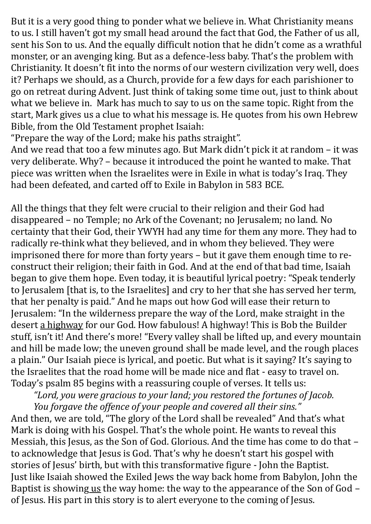But it is a very good thing to ponder what we believe in. What Christianity means to us. I still haven't got my small head around the fact that God, the Father of us all, sent his Son to us. And the equally difficult notion that he didn't come as a wrathful monster, or an avenging king. But as a defence-less baby. That's the problem with Christianity. It doesn't fit into the norms of our western civilization very well, does it? Perhaps we should, as a Church, provide for a few days for each parishioner to go on retreat during Advent. Just think of taking some time out, just to think about what we believe in. Mark has much to say to us on the same topic. Right from the start, Mark gives us a clue to what his message is. He quotes from his own Hebrew Bible, from the Old Testament prophet Isaiah:

"Prepare the way of the Lord; make his paths straight".

And we read that too a few minutes ago. But Mark didn't pick it at random – it was very deliberate. Why? – because it introduced the point he wanted to make. That piece was written when the Israelites were in Exile in what is today's Iraq. They had been defeated, and carted off to Exile in Babylon in 583 BCE.

All the things that they felt were crucial to their religion and their God had disappeared – no Temple; no Ark of the Covenant; no Jerusalem; no land. No certainty that their God, their YWYH had any time for them any more. They had to radically re-think what they believed, and in whom they believed. They were imprisoned there for more than forty years – but it gave them enough time to reconstruct their religion; their faith in God. And at the end of that bad time, Isaiah began to give them hope. Even today, it is beautiful lyrical poetry: "Speak tenderly to Jerusalem [that is, to the Israelites] and cry to her that she has served her term, that her penalty is paid." And he maps out how God will ease their return to Jerusalem: "In the wilderness prepare the way of the Lord, make straight in the desert a highway for our God. How fabulous! A highway! This is Bob the Builder stuff, isn't it! And there's more! "Every valley shall be lifted up, and every mountain and hill be made low; the uneven ground shall be made level, and the rough places a plain." Our Isaiah piece is lyrical, and poetic. But what is it saying? It's saying to the Israelites that the road home will be made nice and flat - easy to travel on. Today's psalm 85 begins with a reassuring couple of verses. It tells us:

*"Lord, you were gracious to your land; you restored the fortunes of Jacob. You forgave the offence of your people and covered all their sins."*

And then, we are told, "The glory of the Lord shall be revealed" And that's what Mark is doing with his Gospel. That's the whole point. He wants to reveal this Messiah, this Jesus, as the Son of God. Glorious. And the time has come to do that – to acknowledge that Jesus is God. That's why he doesn't start his gospel with stories of Jesus' birth, but with this transformative figure - John the Baptist. Just like Isaiah showed the Exiled Jews the way back home from Babylon, John the Baptist is showing us the way home: the way to the appearance of the Son of God – of Jesus. His part in this story is to alert everyone to the coming of Jesus.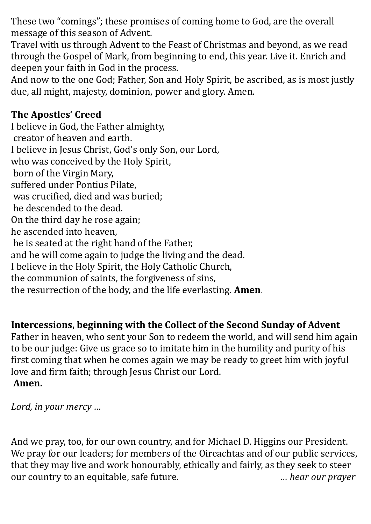These two "comings"; these promises of coming home to God, are the overall message of this season of Advent.

Travel with us through Advent to the Feast of Christmas and beyond, as we read through the Gospel of Mark, from beginning to end, this year. Live it. Enrich and deepen your faith in God in the process.

And now to the one God; Father, Son and Holy Spirit, be ascribed, as is most justly due, all might, majesty, dominion, power and glory. Amen.

## **The Apostles' Creed**

I believe in God, the Father almighty, creator of heaven and earth. I believe in Jesus Christ, God's only Son, our Lord, who was conceived by the Holy Spirit, born of the Virgin Mary, suffered under Pontius Pilate, was crucified, died and was buried; he descended to the dead. On the third day he rose again; he ascended into heaven, he is seated at the right hand of the Father, and he will come again to judge the living and the dead. I believe in the Holy Spirit, the Holy Catholic Church, the communion of saints, the forgiveness of sins, the resurrection of the body, and the life everlasting. **Amen.** 

## **Intercessions, beginning with the Collect of the Second Sunday of Advent**

Father in heaven, who sent your Son to redeem the world, and will send him again to be our judge: Give us grace so to imitate him in the humility and purity of his first coming that when he comes again we may be ready to greet him with joyful love and firm faith; through Jesus Christ our Lord.

### **Amen.**

*Lord, in your mercy …*

And we pray, too, for our own country, and for Michael D. Higgins our President. We pray for our leaders; for members of the Oireachtas and of our public services, that they may live and work honourably, ethically and fairly, as they seek to steer our country to an equitable, safe future. *… hear our prayer*